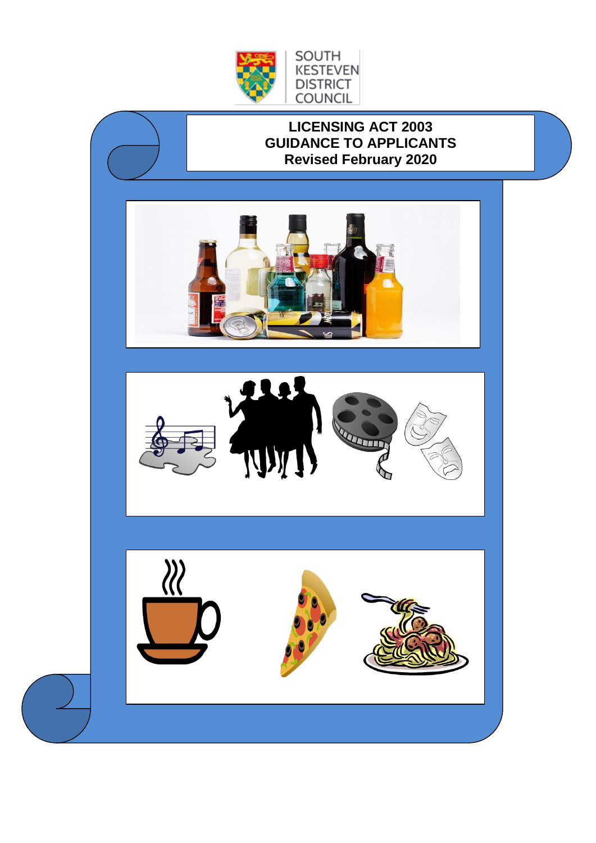

# **LICENSING ACT 2003 GUIDANCE TO APPLICANTS Revised February 2020**



SOUTH **KESTEVEN DISTRICT** COUNCIL



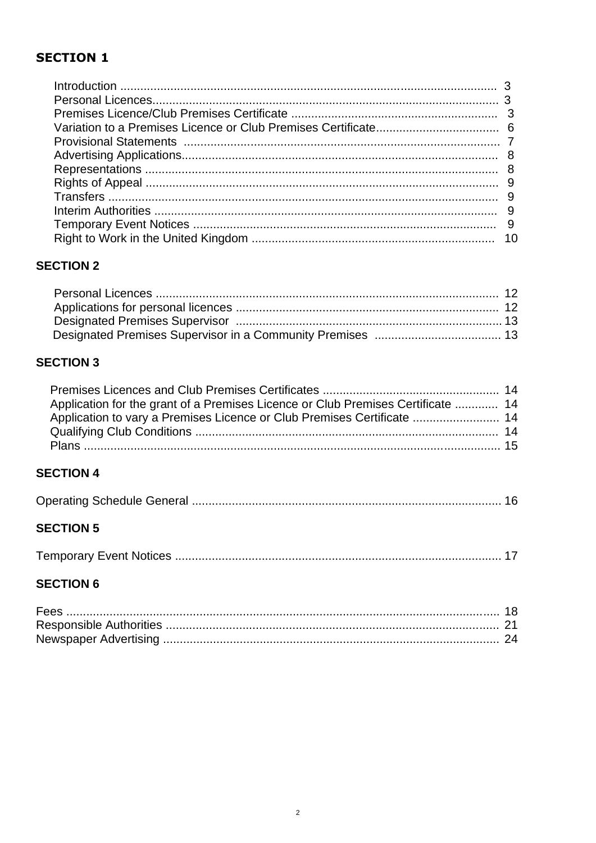# **SECTION 1**

## **SECTION 2**

# **SECTION 3**

| Application for the grant of a Premises Licence or Club Premises Certificate  14 |  |
|----------------------------------------------------------------------------------|--|
| Application to vary a Premises Licence or Club Premises Certificate  14          |  |
|                                                                                  |  |
|                                                                                  |  |
|                                                                                  |  |

# **SECTION 4**

|--|--|--|--|

## **SECTION 5**

|--|

## **SECTION 6**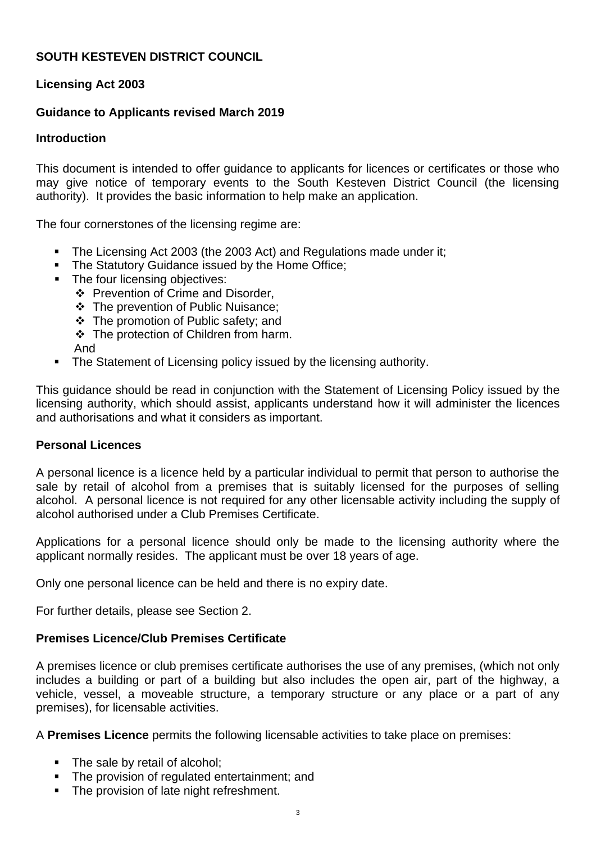## **SOUTH KESTEVEN DISTRICT COUNCIL**

## **Licensing Act 2003**

## **Guidance to Applicants revised March 2019**

## **Introduction**

This document is intended to offer guidance to applicants for licences or certificates or those who may give notice of temporary events to the South Kesteven District Council (the licensing authority). It provides the basic information to help make an application.

The four cornerstones of the licensing regime are:

- The Licensing Act 2003 (the 2003 Act) and Regulations made under it;
- **The Statutory Guidance issued by the Home Office;**
- **•** The four licensing objectives:
	- ❖ Prevention of Crime and Disorder,
	- ❖ The prevention of Public Nuisance;
	- ❖ The promotion of Public safety; and
	- ❖ The protection of Children from harm.
	- And
- The Statement of Licensing policy issued by the licensing authority.

This guidance should be read in conjunction with the Statement of Licensing Policy issued by the licensing authority, which should assist, applicants understand how it will administer the licences and authorisations and what it considers as important.

## **Personal Licences**

A personal licence is a licence held by a particular individual to permit that person to authorise the sale by retail of alcohol from a premises that is suitably licensed for the purposes of selling alcohol. A personal licence is not required for any other licensable activity including the supply of alcohol authorised under a Club Premises Certificate.

Applications for a personal licence should only be made to the licensing authority where the applicant normally resides. The applicant must be over 18 years of age.

Only one personal licence can be held and there is no expiry date.

For further details, please see Section 2.

## **Premises Licence/Club Premises Certificate**

A premises licence or club premises certificate authorises the use of any premises, (which not only includes a building or part of a building but also includes the open air, part of the highway, a vehicle, vessel, a moveable structure, a temporary structure or any place or a part of any premises), for licensable activities.

A **Premises Licence** permits the following licensable activities to take place on premises:

- The sale by retail of alcohol;
- The provision of regulated entertainment; and
- The provision of late night refreshment.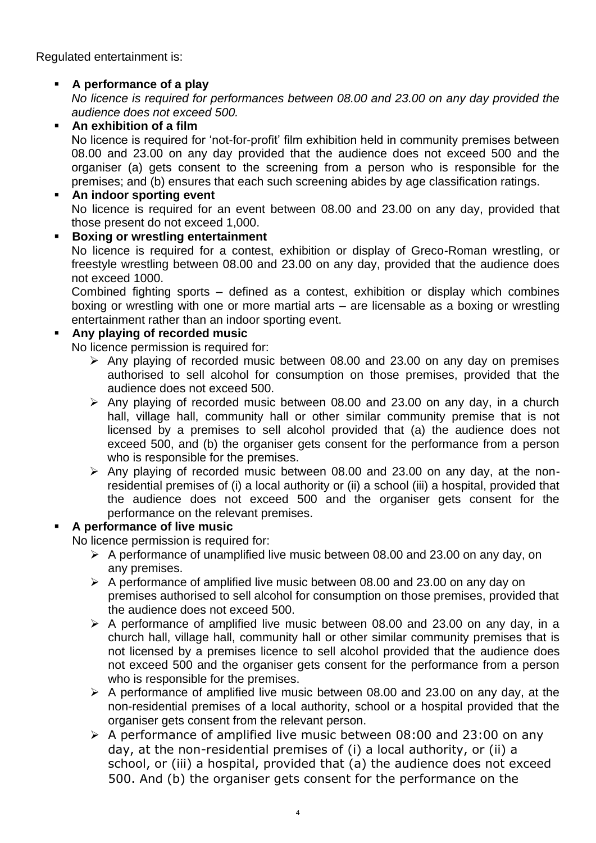Regulated entertainment is:

## ▪ **A performance of a play**

*No licence is required for performances between 08.00 and 23.00 on any day provided the audience does not exceed 500.*

▪ **An exhibition of a film**

No licence is required for 'not-for-profit' film exhibition held in community premises between 08.00 and 23.00 on any day provided that the audience does not exceed 500 and the organiser (a) gets consent to the screening from a person who is responsible for the premises; and (b) ensures that each such screening abides by age classification ratings.

#### ▪ **An indoor sporting event** No licence is required for an event between 08.00 and 23.00 on any day, provided that those present do not exceed 1,000.

#### ▪ **Boxing or wrestling entertainment**

No licence is required for a contest, exhibition or display of Greco-Roman wrestling, or freestyle wrestling between 08.00 and 23.00 on any day, provided that the audience does not exceed 1000.

Combined fighting sports – defined as a contest, exhibition or display which combines boxing or wrestling with one or more martial arts – are licensable as a boxing or wrestling entertainment rather than an indoor sporting event.

## ▪ **Any playing of recorded music**

No licence permission is required for:

- ➢ Any playing of recorded music between 08.00 and 23.00 on any day on premises authorised to sell alcohol for consumption on those premises, provided that the audience does not exceed 500.
- $\triangleright$  Any playing of recorded music between 08.00 and 23.00 on any day, in a church hall, village hall, community hall or other similar community premise that is not licensed by a premises to sell alcohol provided that (a) the audience does not exceed 500, and (b) the organiser gets consent for the performance from a person who is responsible for the premises.
- ➢ Any playing of recorded music between 08.00 and 23.00 on any day, at the nonresidential premises of (i) a local authority or (ii) a school (iii) a hospital, provided that the audience does not exceed 500 and the organiser gets consent for the performance on the relevant premises.

## A performance of live music

No licence permission is required for:

- ➢ A performance of unamplified live music between 08.00 and 23.00 on any day, on any premises.
- ➢ A performance of amplified live music between 08.00 and 23.00 on any day on premises authorised to sell alcohol for consumption on those premises, provided that the audience does not exceed 500.
- $\triangleright$  A performance of amplified live music between 08.00 and 23.00 on any day, in a church hall, village hall, community hall or other similar community premises that is not licensed by a premises licence to sell alcohol provided that the audience does not exceed 500 and the organiser gets consent for the performance from a person who is responsible for the premises.
- ➢ A performance of amplified live music between 08.00 and 23.00 on any day, at the non-residential premises of a local authority, school or a hospital provided that the organiser gets consent from the relevant person.
- ➢ A performance of amplified live music between 08:00 and 23:00 on any day, at the non-residential premises of (i) a local authority, or (ii) a school, or (iii) a hospital, provided that (a) the audience does not exceed 500. And (b) the organiser gets consent for the performance on the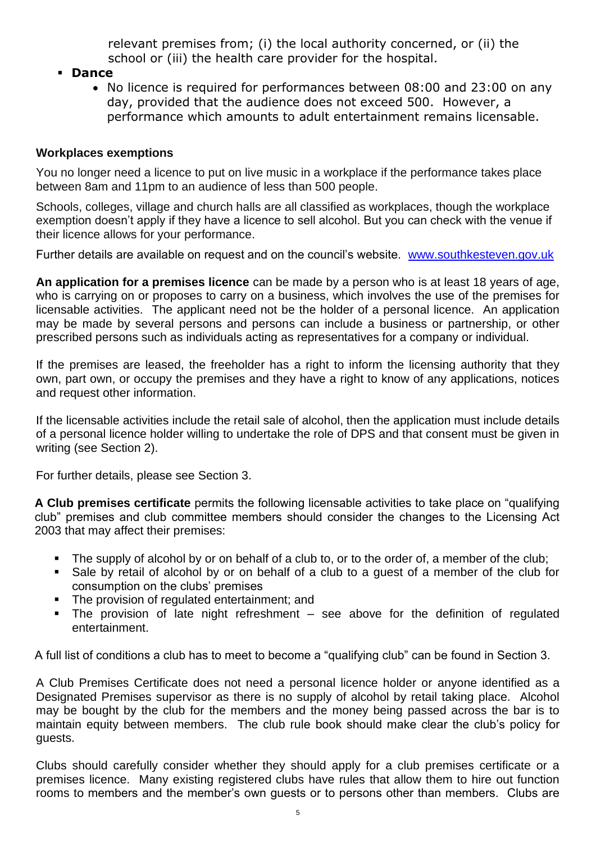relevant premises from; (i) the local authority concerned, or (ii) the school or (iii) the health care provider for the hospital.

- **Dance**
	- No licence is required for performances between 08:00 and 23:00 on any day, provided that the audience does not exceed 500. However, a performance which amounts to adult entertainment remains licensable.

## **Workplaces exemptions**

You no longer need a licence to put on live music in a workplace if the performance takes place between 8am and 11pm to an audience of less than 500 people.

Schools, colleges, village and church halls are all classified as workplaces, though the workplace exemption doesn't apply if they have a licence to sell alcohol. But you can check with the venue if their licence allows for your performance.

Further details are available on request and on the council's website. [www.southkesteven.gov.uk](http://www.southkesteven.gov.uk/)

**An application for a premises licence** can be made by a person who is at least 18 years of age, who is carrying on or proposes to carry on a business, which involves the use of the premises for licensable activities. The applicant need not be the holder of a personal licence. An application may be made by several persons and persons can include a business or partnership, or other prescribed persons such as individuals acting as representatives for a company or individual.

If the premises are leased, the freeholder has a right to inform the licensing authority that they own, part own, or occupy the premises and they have a right to know of any applications, notices and request other information.

If the licensable activities include the retail sale of alcohol, then the application must include details of a personal licence holder willing to undertake the role of DPS and that consent must be given in writing (see Section 2).

For further details, please see Section 3.

**A Club premises certificate** permits the following licensable activities to take place on "qualifying club" premises and club committee members should consider the changes to the Licensing Act 2003 that may affect their premises:

- The supply of alcohol by or on behalf of a club to, or to the order of, a member of the club;
- Sale by retail of alcohol by or on behalf of a club to a guest of a member of the club for consumption on the clubs' premises
- The provision of regulated entertainment; and
- $\blacksquare$  The provision of late night refreshment see above for the definition of regulated entertainment.

A full list of conditions a club has to meet to become a "qualifying club" can be found in Section 3.

A Club Premises Certificate does not need a personal licence holder or anyone identified as a Designated Premises supervisor as there is no supply of alcohol by retail taking place. Alcohol may be bought by the club for the members and the money being passed across the bar is to maintain equity between members. The club rule book should make clear the club's policy for guests.

Clubs should carefully consider whether they should apply for a club premises certificate or a premises licence. Many existing registered clubs have rules that allow them to hire out function rooms to members and the member's own guests or to persons other than members. Clubs are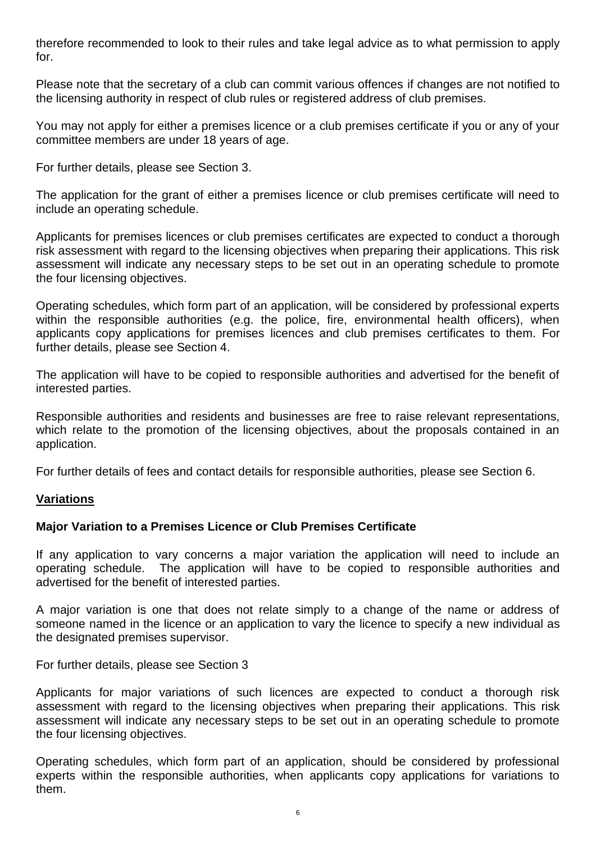therefore recommended to look to their rules and take legal advice as to what permission to apply for.

Please note that the secretary of a club can commit various offences if changes are not notified to the licensing authority in respect of club rules or registered address of club premises.

You may not apply for either a premises licence or a club premises certificate if you or any of your committee members are under 18 years of age.

For further details, please see Section 3.

The application for the grant of either a premises licence or club premises certificate will need to include an operating schedule.

Applicants for premises licences or club premises certificates are expected to conduct a thorough risk assessment with regard to the licensing objectives when preparing their applications. This risk assessment will indicate any necessary steps to be set out in an operating schedule to promote the four licensing objectives.

Operating schedules, which form part of an application, will be considered by professional experts within the responsible authorities (e.g. the police, fire, environmental health officers), when applicants copy applications for premises licences and club premises certificates to them. For further details, please see Section 4.

The application will have to be copied to responsible authorities and advertised for the benefit of interested parties.

Responsible authorities and residents and businesses are free to raise relevant representations, which relate to the promotion of the licensing objectives, about the proposals contained in an application.

For further details of fees and contact details for responsible authorities, please see Section 6.

#### **Variations**

#### **Major Variation to a Premises Licence or Club Premises Certificate**

If any application to vary concerns a major variation the application will need to include an operating schedule. The application will have to be copied to responsible authorities and advertised for the benefit of interested parties.

A major variation is one that does not relate simply to a change of the name or address of someone named in the licence or an application to vary the licence to specify a new individual as the designated premises supervisor.

For further details, please see Section 3

Applicants for major variations of such licences are expected to conduct a thorough risk assessment with regard to the licensing objectives when preparing their applications. This risk assessment will indicate any necessary steps to be set out in an operating schedule to promote the four licensing objectives.

Operating schedules, which form part of an application, should be considered by professional experts within the responsible authorities, when applicants copy applications for variations to them.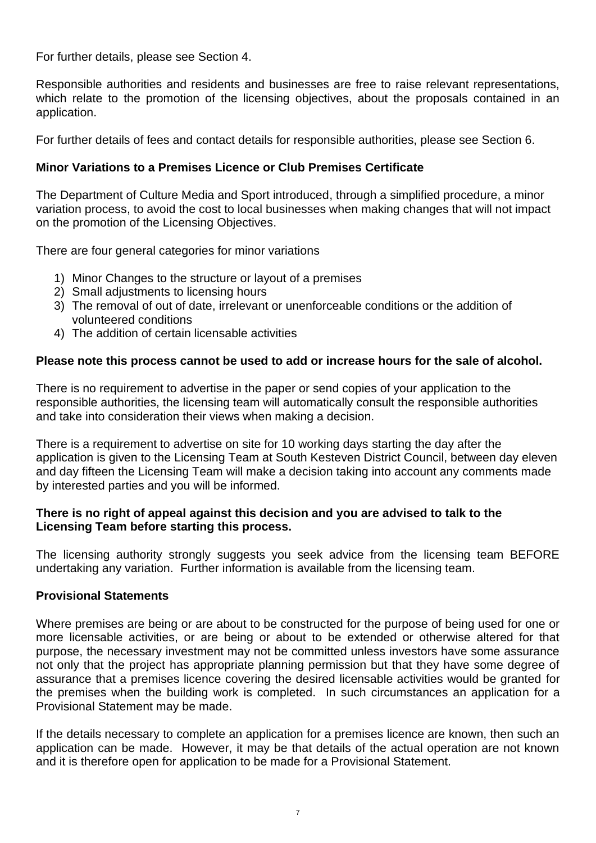For further details, please see Section 4.

Responsible authorities and residents and businesses are free to raise relevant representations, which relate to the promotion of the licensing objectives, about the proposals contained in an application.

For further details of fees and contact details for responsible authorities, please see Section 6.

## **Minor Variations to a Premises Licence or Club Premises Certificate**

The Department of Culture Media and Sport introduced, through a simplified procedure, a minor variation process, to avoid the cost to local businesses when making changes that will not impact on the promotion of the Licensing Objectives.

There are four general categories for minor variations

- 1) Minor Changes to the structure or layout of a premises
- 2) Small adjustments to licensing hours
- 3) The removal of out of date, irrelevant or unenforceable conditions or the addition of volunteered conditions
- 4) The addition of certain licensable activities

### **Please note this process cannot be used to add or increase hours for the sale of alcohol.**

There is no requirement to advertise in the paper or send copies of your application to the responsible authorities, the licensing team will automatically consult the responsible authorities and take into consideration their views when making a decision.

There is a requirement to advertise on site for 10 working days starting the day after the application is given to the Licensing Team at South Kesteven District Council, between day eleven and day fifteen the Licensing Team will make a decision taking into account any comments made by interested parties and you will be informed.

#### **There is no right of appeal against this decision and you are advised to talk to the Licensing Team before starting this process.**

The licensing authority strongly suggests you seek advice from the licensing team BEFORE undertaking any variation. Further information is available from the licensing team.

#### **Provisional Statements**

Where premises are being or are about to be constructed for the purpose of being used for one or more licensable activities, or are being or about to be extended or otherwise altered for that purpose, the necessary investment may not be committed unless investors have some assurance not only that the project has appropriate planning permission but that they have some degree of assurance that a premises licence covering the desired licensable activities would be granted for the premises when the building work is completed. In such circumstances an application for a Provisional Statement may be made.

If the details necessary to complete an application for a premises licence are known, then such an application can be made. However, it may be that details of the actual operation are not known and it is therefore open for application to be made for a Provisional Statement.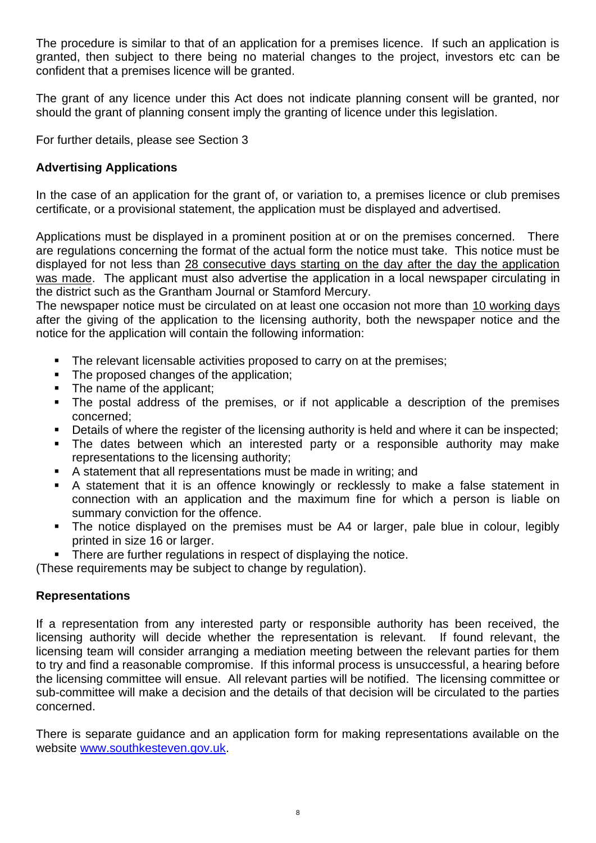The procedure is similar to that of an application for a premises licence. If such an application is granted, then subject to there being no material changes to the project, investors etc can be confident that a premises licence will be granted.

The grant of any licence under this Act does not indicate planning consent will be granted, nor should the grant of planning consent imply the granting of licence under this legislation.

For further details, please see Section 3

## **Advertising Applications**

In the case of an application for the grant of, or variation to, a premises licence or club premises certificate, or a provisional statement, the application must be displayed and advertised.

Applications must be displayed in a prominent position at or on the premises concerned. There are regulations concerning the format of the actual form the notice must take. This notice must be displayed for not less than 28 consecutive days starting on the day after the day the application was made. The applicant must also advertise the application in a local newspaper circulating in the district such as the Grantham Journal or Stamford Mercury.

The newspaper notice must be circulated on at least one occasion not more than 10 working days after the giving of the application to the licensing authority, both the newspaper notice and the notice for the application will contain the following information:

- **•** The relevant licensable activities proposed to carry on at the premises;
- The proposed changes of the application;
- The name of the applicant;
- The postal address of the premises, or if not applicable a description of the premises concerned;
- Details of where the register of the licensing authority is held and where it can be inspected;
- The dates between which an interested party or a responsible authority may make representations to the licensing authority;
- A statement that all representations must be made in writing; and
- A statement that it is an offence knowingly or recklessly to make a false statement in connection with an application and the maximum fine for which a person is liable on summary conviction for the offence.
- The notice displayed on the premises must be A4 or larger, pale blue in colour, legibly printed in size 16 or larger.
- **There are further regulations in respect of displaying the notice.**

(These requirements may be subject to change by regulation).

## **Representations**

If a representation from any interested party or responsible authority has been received, the licensing authority will decide whether the representation is relevant. If found relevant, the licensing team will consider arranging a mediation meeting between the relevant parties for them to try and find a reasonable compromise. If this informal process is unsuccessful, a hearing before the licensing committee will ensue. All relevant parties will be notified. The licensing committee or sub-committee will make a decision and the details of that decision will be circulated to the parties concerned.

There is separate guidance and an application form for making representations available on the website [www.southkesteven.gov.uk.](http://www.southkesteven.gov.uk/)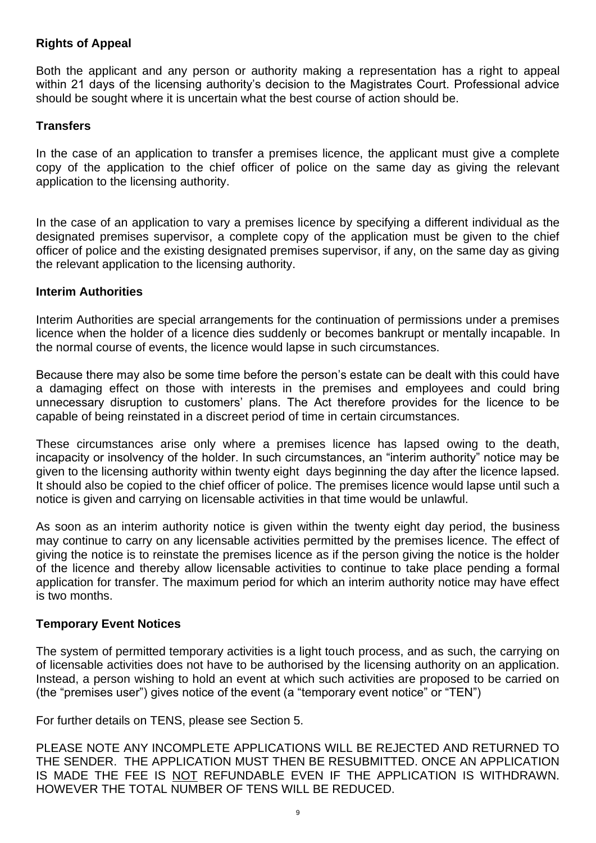## **Rights of Appeal**

Both the applicant and any person or authority making a representation has a right to appeal within 21 days of the licensing authority's decision to the Magistrates Court. Professional advice should be sought where it is uncertain what the best course of action should be.

#### **Transfers**

In the case of an application to transfer a premises licence, the applicant must give a complete copy of the application to the chief officer of police on the same day as giving the relevant application to the licensing authority.

In the case of an application to vary a premises licence by specifying a different individual as the designated premises supervisor, a complete copy of the application must be given to the chief officer of police and the existing designated premises supervisor, if any, on the same day as giving the relevant application to the licensing authority.

#### **Interim Authorities**

Interim Authorities are special arrangements for the continuation of permissions under a premises licence when the holder of a licence dies suddenly or becomes bankrupt or mentally incapable. In the normal course of events, the licence would lapse in such circumstances.

Because there may also be some time before the person's estate can be dealt with this could have a damaging effect on those with interests in the premises and employees and could bring unnecessary disruption to customers' plans. The Act therefore provides for the licence to be capable of being reinstated in a discreet period of time in certain circumstances.

These circumstances arise only where a premises licence has lapsed owing to the death, incapacity or insolvency of the holder. In such circumstances, an "interim authority" notice may be given to the licensing authority within twenty eight days beginning the day after the licence lapsed. It should also be copied to the chief officer of police. The premises licence would lapse until such a notice is given and carrying on licensable activities in that time would be unlawful.

As soon as an interim authority notice is given within the twenty eight day period, the business may continue to carry on any licensable activities permitted by the premises licence. The effect of giving the notice is to reinstate the premises licence as if the person giving the notice is the holder of the licence and thereby allow licensable activities to continue to take place pending a formal application for transfer. The maximum period for which an interim authority notice may have effect is two months.

#### **Temporary Event Notices**

The system of permitted temporary activities is a light touch process, and as such, the carrying on of licensable activities does not have to be authorised by the licensing authority on an application. Instead, a person wishing to hold an event at which such activities are proposed to be carried on (the "premises user") gives notice of the event (a "temporary event notice" or "TEN")

For further details on TENS, please see Section 5.

PLEASE NOTE ANY INCOMPLETE APPLICATIONS WILL BE REJECTED AND RETURNED TO THE SENDER. THE APPLICATION MUST THEN BE RESUBMITTED. ONCE AN APPLICATION IS MADE THE FEE IS NOT REFUNDABLE EVEN IF THE APPLICATION IS WITHDRAWN. HOWEVER THE TOTAL NUMBER OF TENS WILL BE REDUCED.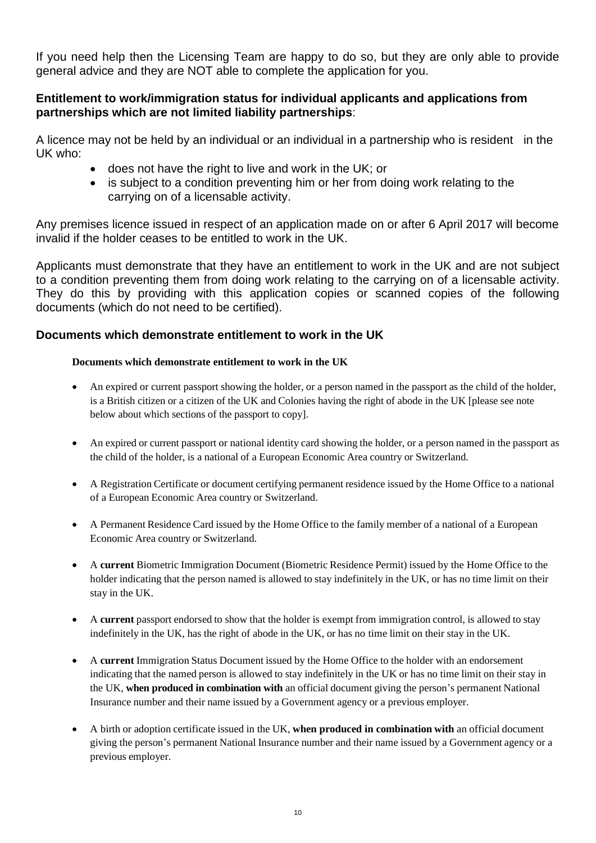If you need help then the Licensing Team are happy to do so, but they are only able to provide general advice and they are NOT able to complete the application for you.

### **Entitlement to work/immigration status for individual applicants and applications from partnerships which are not limited liability partnerships**:

A licence may not be held by an individual or an individual in a partnership who is resident in the UK who:

- does not have the right to live and work in the UK; or
- is subject to a condition preventing him or her from doing work relating to the carrying on of a licensable activity.

Any premises licence issued in respect of an application made on or after 6 April 2017 will become invalid if the holder ceases to be entitled to work in the UK.

Applicants must demonstrate that they have an entitlement to work in the UK and are not subject to a condition preventing them from doing work relating to the carrying on of a licensable activity. They do this by providing with this application copies or scanned copies of the following documents (which do not need to be certified).

#### **Documents which demonstrate entitlement to work in the UK**

#### **Documents which demonstrate entitlement to work in the UK**

- An expired or current passport showing the holder, or a person named in the passport as the child of the holder, is a British citizen or a citizen of the UK and Colonies having the right of abode in the UK [please see note below about which sections of the passport to copy].
- An expired or current passport or national identity card showing the holder, or a person named in the passport as the child of the holder, is a national of a European Economic Area country or Switzerland.
- A Registration Certificate or document certifying permanent residence issued by the Home Office to a national of a European Economic Area country or Switzerland.
- A Permanent Residence Card issued by the Home Office to the family member of a national of a European Economic Area country or Switzerland.
- A **current** Biometric Immigration Document (Biometric Residence Permit) issued by the Home Office to the holder indicating that the person named is allowed to stay indefinitely in the UK, or has no time limit on their stay in the UK.
- A **current** passport endorsed to show that the holder is exempt from immigration control, is allowed to stay indefinitely in the UK, has the right of abode in the UK, or has no time limit on their stay in the UK.
- A **current** Immigration Status Document issued by the Home Office to the holder with an endorsement indicating that the named person is allowed to stay indefinitely in the UK or has no time limit on their stay in the UK, **when produced in combination with** an official document giving the person's permanent National Insurance number and their name issued by a Government agency or a previous employer.
- A birth or adoption certificate issued in the UK, **when produced in combination with** an official document giving the person's permanent National Insurance number and their name issued by a Government agency or a previous employer.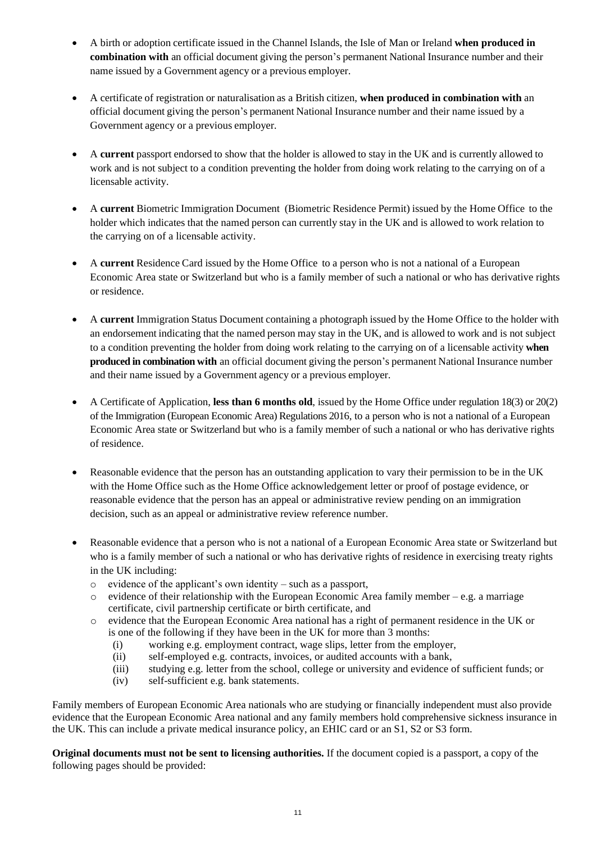- A birth or adoption certificate issued in the Channel Islands, the Isle of Man or Ireland **when produced in combination with** an official document giving the person's permanent National Insurance number and their name issued by a Government agency or a previous employer.
- A certificate of registration or naturalisation as a British citizen, **when produced in combination with** an official document giving the person's permanent National Insurance number and their name issued by a Government agency or a previous employer.
- A **current** passport endorsed to show that the holder is allowed to stay in the UK and is currently allowed to work and is not subject to a condition preventing the holder from doing work relating to the carrying on of a licensable activity.
- A **current** Biometric Immigration Document (Biometric Residence Permit) issued by the Home Office to the holder which indicates that the named person can currently stay in the UK and is allowed to work relation to the carrying on of a licensable activity.
- A **current** Residence Card issued by the Home Office to a person who is not a national of a European Economic Area state or Switzerland but who is a family member of such a national or who has derivative rights or residence.
- A **current** Immigration Status Document containing a photograph issued by the Home Office to the holder with an endorsement indicating that the named person may stay in the UK, and is allowed to work and is not subject to a condition preventing the holder from doing work relating to the carrying on of a licensable activity **when produced in combination with** an official document giving the person's permanent National Insurance number and their name issued by a Government agency or a previous employer.
- A Certificate of Application, **less than 6 months old**, issued by the Home Office under regulation 18(3) or 20(2) of the Immigration (European Economic Area) Regulations 2016, to a person who is not a national of a European Economic Area state or Switzerland but who is a family member of such a national or who has derivative rights of residence.
- Reasonable evidence that the person has an outstanding application to vary their permission to be in the UK with the Home Office such as the Home Office acknowledgement letter or proof of postage evidence, or reasonable evidence that the person has an appeal or administrative review pending on an immigration decision, such as an appeal or administrative review reference number.
- Reasonable evidence that a person who is not a national of a European Economic Area state or Switzerland but who is a family member of such a national or who has derivative rights of residence in exercising treaty rights in the UK including:
	- o evidence of the applicant's own identity such as a passport,
	- o evidence of their relationship with the European Economic Area family member e.g. a marriage certificate, civil partnership certificate or birth certificate, and
	- o evidence that the European Economic Area national has a right of permanent residence in the UK or is one of the following if they have been in the UK for more than 3 months:
		- (i) working e.g. employment contract, wage slips, letter from the employer,
		- (ii) self-employed e.g. contracts, invoices, or audited accounts with a bank,
		- (iii) studying e.g. letter from the school, college or university and evidence of sufficient funds; or
		- (iv) self-sufficient e.g. bank statements.

Family members of European Economic Area nationals who are studying or financially independent must also provide evidence that the European Economic Area national and any family members hold comprehensive sickness insurance in the UK. This can include a private medical insurance policy, an EHIC card or an S1, S2 or S3 form.

**Original documents must not be sent to licensing authorities.** If the document copied is a passport, a copy of the following pages should be provided: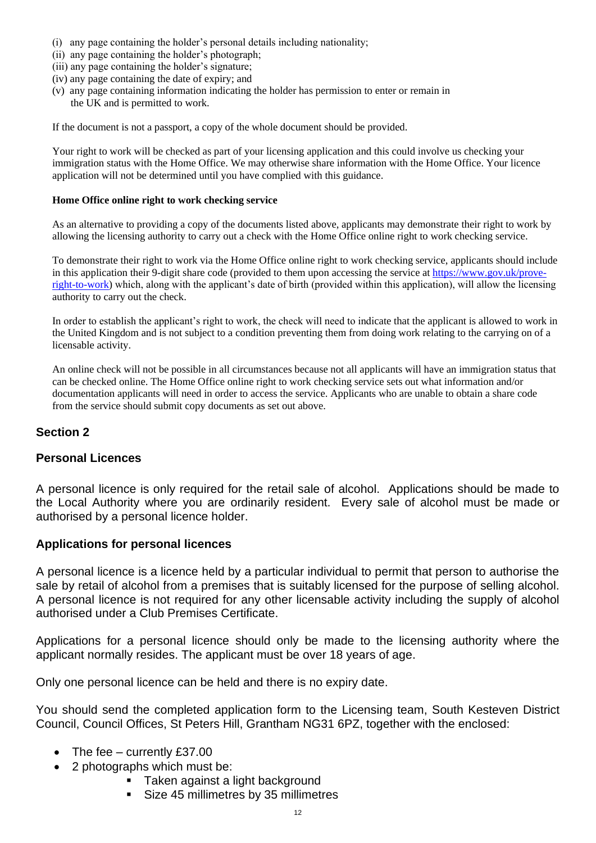- (i) any page containing the holder's personal details including nationality;
- (ii) any page containing the holder's photograph;
- (iii) any page containing the holder's signature;
- (iv) any page containing the date of expiry; and
- (v) any page containing information indicating the holder has permission to enter or remain in the UK and is permitted to work.

If the document is not a passport, a copy of the whole document should be provided.

Your right to work will be checked as part of your licensing application and this could involve us checking your immigration status with the Home Office. We may otherwise share information with the Home Office. Your licence application will not be determined until you have complied with this guidance.

#### **Home Office online right to work checking service**

As an alternative to providing a copy of the documents listed above, applicants may demonstrate their right to work by allowing the licensing authority to carry out a check with the Home Office online right to work checking service.

To demonstrate their right to work via the Home Office online right to work checking service, applicants should include in this application their 9-digit share code (provided to them upon accessing the service at [https://www.gov.uk/prove](https://www.gov.uk/prove-right-to-work)[right-to-work\)](https://www.gov.uk/prove-right-to-work) which, along with the applicant's date of birth (provided within this application), will allow the licensing authority to carry out the check.

In order to establish the applicant's right to work, the check will need to indicate that the applicant is allowed to work in the United Kingdom and is not subject to a condition preventing them from doing work relating to the carrying on of a licensable activity.

An online check will not be possible in all circumstances because not all applicants will have an immigration status that can be checked online. The Home Office online right to work checking service sets out what information and/or documentation applicants will need in order to access the service. Applicants who are unable to obtain a share code from the service should submit copy documents as set out above.

#### **Section 2**

#### **Personal Licences**

A personal licence is only required for the retail sale of alcohol. Applications should be made to the Local Authority where you are ordinarily resident. Every sale of alcohol must be made or authorised by a personal licence holder.

#### **Applications for personal licences**

A personal licence is a licence held by a particular individual to permit that person to authorise the sale by retail of alcohol from a premises that is suitably licensed for the purpose of selling alcohol. A personal licence is not required for any other licensable activity including the supply of alcohol authorised under a Club Premises Certificate.

Applications for a personal licence should only be made to the licensing authority where the applicant normally resides. The applicant must be over 18 years of age.

Only one personal licence can be held and there is no expiry date.

You should send the completed application form to the Licensing team, South Kesteven District Council, Council Offices, St Peters Hill, Grantham NG31 6PZ, together with the enclosed:

- The fee currently £37.00
- 2 photographs which must be:
	- **Taken against a light background**
	- Size 45 millimetres by 35 millimetres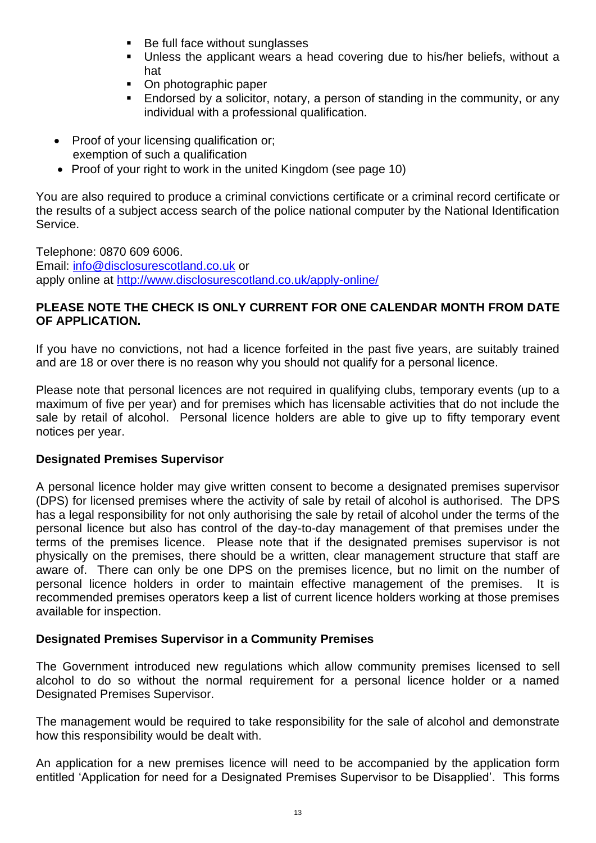- Be full face without sunglasses
- Unless the applicant wears a head covering due to his/her beliefs, without a hat
- On photographic paper
- Endorsed by a solicitor, notary, a person of standing in the community, or any individual with a professional qualification.
- Proof of your licensing qualification or; exemption of such a qualification
- Proof of your right to work in the united Kingdom (see page 10)

You are also required to produce a criminal convictions certificate or a criminal record certificate or the results of a subject access search of the police national computer by the National Identification Service.

Telephone: 0870 609 6006. Email: [info@disclosurescotland.co.uk](mailto:info@disclosurescotland.co.uk) or apply online at<http://www.disclosurescotland.co.uk/apply-online/>

### **PLEASE NOTE THE CHECK IS ONLY CURRENT FOR ONE CALENDAR MONTH FROM DATE OF APPLICATION.**

If you have no convictions, not had a licence forfeited in the past five years, are suitably trained and are 18 or over there is no reason why you should not qualify for a personal licence.

Please note that personal licences are not required in qualifying clubs, temporary events (up to a maximum of five per year) and for premises which has licensable activities that do not include the sale by retail of alcohol. Personal licence holders are able to give up to fifty temporary event notices per year.

#### **Designated Premises Supervisor**

A personal licence holder may give written consent to become a designated premises supervisor (DPS) for licensed premises where the activity of sale by retail of alcohol is authorised. The DPS has a legal responsibility for not only authorising the sale by retail of alcohol under the terms of the personal licence but also has control of the day-to-day management of that premises under the terms of the premises licence. Please note that if the designated premises supervisor is not physically on the premises, there should be a written, clear management structure that staff are aware of. There can only be one DPS on the premises licence, but no limit on the number of personal licence holders in order to maintain effective management of the premises. It is recommended premises operators keep a list of current licence holders working at those premises available for inspection.

#### **Designated Premises Supervisor in a Community Premises**

The Government introduced new regulations which allow community premises licensed to sell alcohol to do so without the normal requirement for a personal licence holder or a named Designated Premises Supervisor.

The management would be required to take responsibility for the sale of alcohol and demonstrate how this responsibility would be dealt with.

An application for a new premises licence will need to be accompanied by the application form entitled 'Application for need for a Designated Premises Supervisor to be Disapplied'. This forms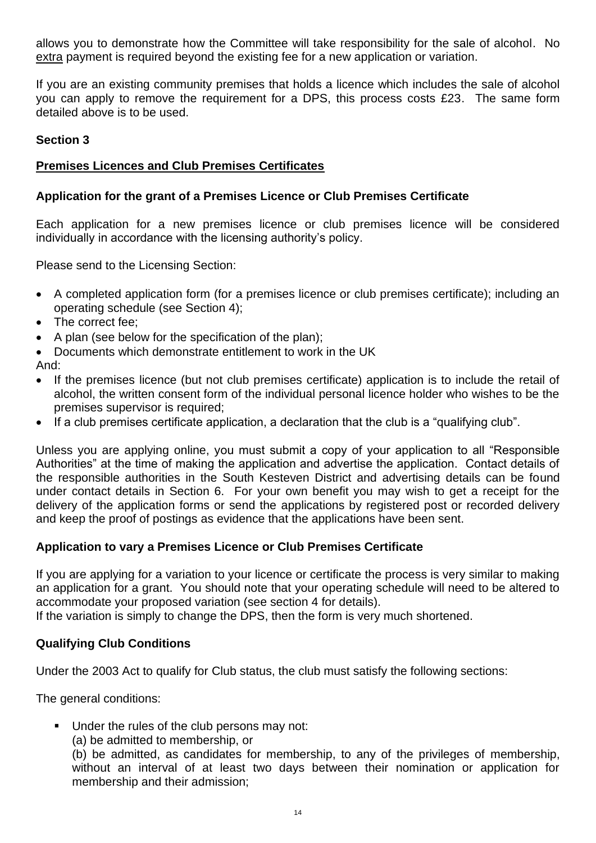allows you to demonstrate how the Committee will take responsibility for the sale of alcohol. No extra payment is required beyond the existing fee for a new application or variation.

If you are an existing community premises that holds a licence which includes the sale of alcohol you can apply to remove the requirement for a DPS, this process costs £23. The same form detailed above is to be used.

### **Section 3**

## **Premises Licences and Club Premises Certificates**

## **Application for the grant of a Premises Licence or Club Premises Certificate**

Each application for a new premises licence or club premises licence will be considered individually in accordance with the licensing authority's policy.

Please send to the Licensing Section:

- A completed application form (for a premises licence or club premises certificate); including an operating schedule (see Section 4);
- The correct fee;
- A plan (see below for the specification of the plan);
- Documents which demonstrate entitlement to work in the UK

And:

- If the premises licence (but not club premises certificate) application is to include the retail of alcohol, the written consent form of the individual personal licence holder who wishes to be the premises supervisor is required;
- If a club premises certificate application, a declaration that the club is a "qualifying club".

Unless you are applying online, you must submit a copy of your application to all "Responsible Authorities" at the time of making the application and advertise the application. Contact details of the responsible authorities in the South Kesteven District and advertising details can be found under contact details in Section 6. For your own benefit you may wish to get a receipt for the delivery of the application forms or send the applications by registered post or recorded delivery and keep the proof of postings as evidence that the applications have been sent.

## **Application to vary a Premises Licence or Club Premises Certificate**

If you are applying for a variation to your licence or certificate the process is very similar to making an application for a grant. You should note that your operating schedule will need to be altered to accommodate your proposed variation (see section 4 for details).

If the variation is simply to change the DPS, then the form is very much shortened.

## **Qualifying Club Conditions**

Under the 2003 Act to qualify for Club status, the club must satisfy the following sections:

The general conditions:

- Under the rules of the club persons may not:
	- (a) be admitted to membership, or

(b) be admitted, as candidates for membership, to any of the privileges of membership, without an interval of at least two days between their nomination or application for membership and their admission;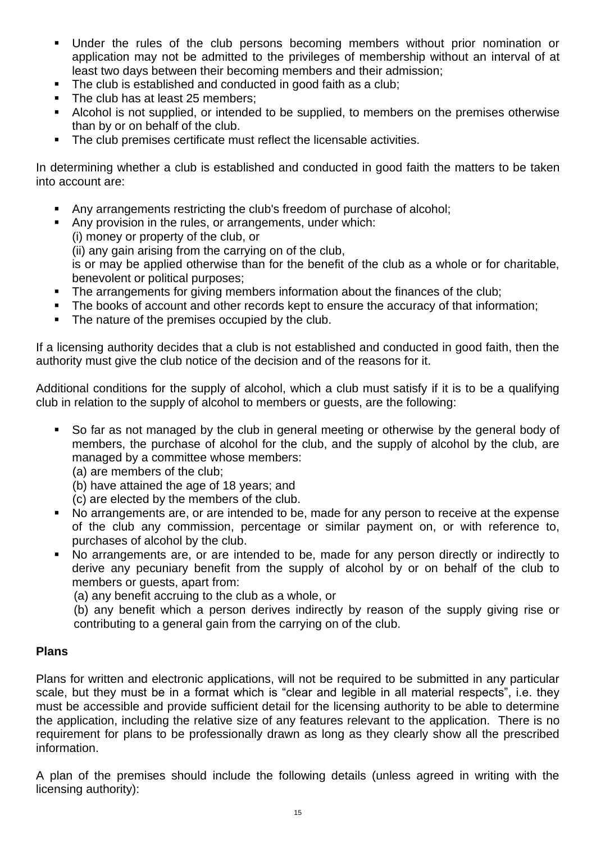- Under the rules of the club persons becoming members without prior nomination or application may not be admitted to the privileges of membership without an interval of at least two days between their becoming members and their admission;
- The club is established and conducted in good faith as a club;
- The club has at least 25 members:
- Alcohol is not supplied, or intended to be supplied, to members on the premises otherwise than by or on behalf of the club.
- The club premises certificate must reflect the licensable activities.

In determining whether a club is established and conducted in good faith the matters to be taken into account are:

- Any arrangements restricting the club's freedom of purchase of alcohol;
- Any provision in the rules, or arrangements, under which:

(i) money or property of the club, or

(ii) any gain arising from the carrying on of the club,

is or may be applied otherwise than for the benefit of the club as a whole or for charitable, benevolent or political purposes;

- The arrangements for giving members information about the finances of the club:
- **•** The books of account and other records kept to ensure the accuracy of that information;
- The nature of the premises occupied by the club.

If a licensing authority decides that a club is not established and conducted in good faith, then the authority must give the club notice of the decision and of the reasons for it.

Additional conditions for the supply of alcohol, which a club must satisfy if it is to be a qualifying club in relation to the supply of alcohol to members or guests, are the following:

- So far as not managed by the club in general meeting or otherwise by the general body of members, the purchase of alcohol for the club, and the supply of alcohol by the club, are managed by a committee whose members:
	- (a) are members of the club;
	- (b) have attained the age of 18 years; and
	- (c) are elected by the members of the club.
- No arrangements are, or are intended to be, made for any person to receive at the expense of the club any commission, percentage or similar payment on, or with reference to, purchases of alcohol by the club.
- No arrangements are, or are intended to be, made for any person directly or indirectly to derive any pecuniary benefit from the supply of alcohol by or on behalf of the club to members or guests, apart from:

(a) any benefit accruing to the club as a whole, or

(b) any benefit which a person derives indirectly by reason of the supply giving rise or contributing to a general gain from the carrying on of the club.

#### **Plans**

Plans for written and electronic applications, will not be required to be submitted in any particular scale, but they must be in a format which is "clear and legible in all material respects", i.e. they must be accessible and provide sufficient detail for the licensing authority to be able to determine the application, including the relative size of any features relevant to the application. There is no requirement for plans to be professionally drawn as long as they clearly show all the prescribed information.

A plan of the premises should include the following details (unless agreed in writing with the licensing authority):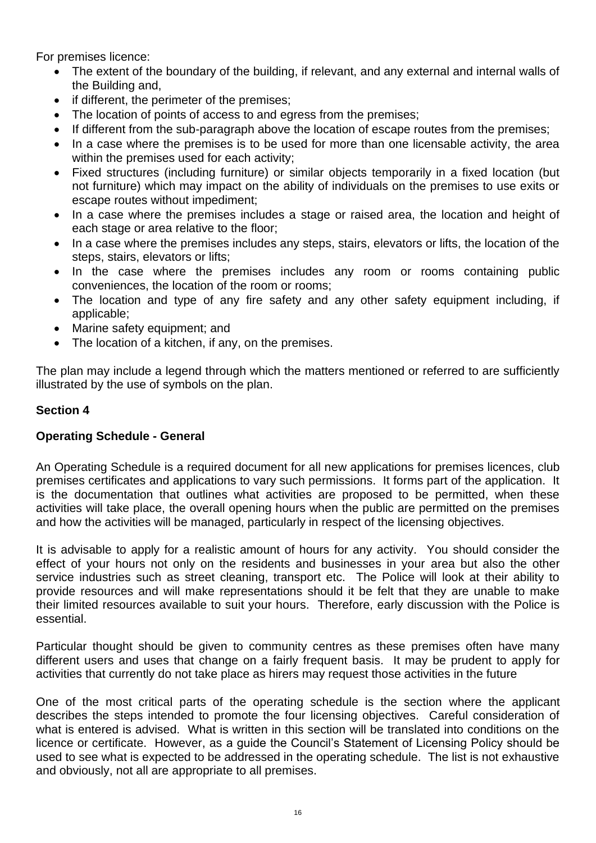For premises licence:

- The extent of the boundary of the building, if relevant, and any external and internal walls of the Building and,
- if different, the perimeter of the premises;
- The location of points of access to and egress from the premises;
- If different from the sub-paragraph above the location of escape routes from the premises;
- In a case where the premises is to be used for more than one licensable activity, the area within the premises used for each activity;
- Fixed structures (including furniture) or similar objects temporarily in a fixed location (but not furniture) which may impact on the ability of individuals on the premises to use exits or escape routes without impediment;
- In a case where the premises includes a stage or raised area, the location and height of each stage or area relative to the floor;
- In a case where the premises includes any steps, stairs, elevators or lifts, the location of the steps, stairs, elevators or lifts;
- In the case where the premises includes any room or rooms containing public conveniences, the location of the room or rooms;
- The location and type of any fire safety and any other safety equipment including, if applicable;
- Marine safety equipment; and
- The location of a kitchen, if any, on the premises.

The plan may include a legend through which the matters mentioned or referred to are sufficiently illustrated by the use of symbols on the plan.

### **Section 4**

#### **Operating Schedule - General**

An Operating Schedule is a required document for all new applications for premises licences, club premises certificates and applications to vary such permissions. It forms part of the application. It is the documentation that outlines what activities are proposed to be permitted, when these activities will take place, the overall opening hours when the public are permitted on the premises and how the activities will be managed, particularly in respect of the licensing objectives.

It is advisable to apply for a realistic amount of hours for any activity. You should consider the effect of your hours not only on the residents and businesses in your area but also the other service industries such as street cleaning, transport etc. The Police will look at their ability to provide resources and will make representations should it be felt that they are unable to make their limited resources available to suit your hours. Therefore, early discussion with the Police is essential.

Particular thought should be given to community centres as these premises often have many different users and uses that change on a fairly frequent basis. It may be prudent to apply for activities that currently do not take place as hirers may request those activities in the future

One of the most critical parts of the operating schedule is the section where the applicant describes the steps intended to promote the four licensing objectives. Careful consideration of what is entered is advised. What is written in this section will be translated into conditions on the licence or certificate. However, as a guide the Council's Statement of Licensing Policy should be used to see what is expected to be addressed in the operating schedule. The list is not exhaustive and obviously, not all are appropriate to all premises.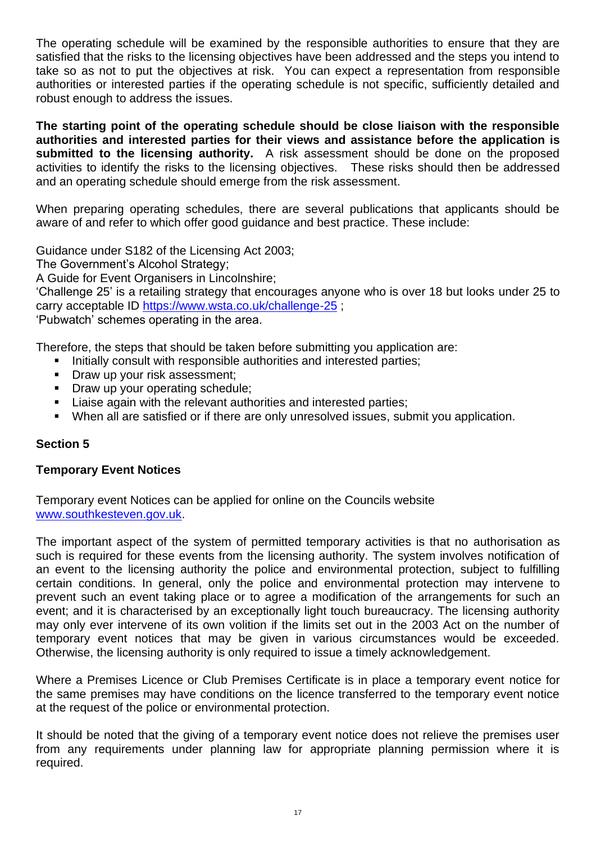The operating schedule will be examined by the responsible authorities to ensure that they are satisfied that the risks to the licensing objectives have been addressed and the steps you intend to take so as not to put the objectives at risk. You can expect a representation from responsible authorities or interested parties if the operating schedule is not specific, sufficiently detailed and robust enough to address the issues.

**The starting point of the operating schedule should be close liaison with the responsible authorities and interested parties for their views and assistance before the application is submitted to the licensing authority.** A risk assessment should be done on the proposed activities to identify the risks to the licensing objectives. These risks should then be addressed and an operating schedule should emerge from the risk assessment.

When preparing operating schedules, there are several publications that applicants should be aware of and refer to which offer good guidance and best practice. These include:

Guidance under S182 of the Licensing Act 2003;

The Government's Alcohol Strategy;

A Guide for Event Organisers in Lincolnshire;

'Challenge 25' is a retailing strategy that encourages anyone who is over 18 but looks under 25 to carry acceptable ID<https://www.wsta.co.uk/challenge-25> ;

'Pubwatch' schemes operating in the area.

Therefore, the steps that should be taken before submitting you application are:

- **EXEDENT Initially consult with responsible authorities and interested parties;**
- **Draw up your risk assessment;**
- Draw up your operating schedule;
- Liaise again with the relevant authorities and interested parties;
- When all are satisfied or if there are only unresolved issues, submit you application.

#### **Section 5**

#### **Temporary Event Notices**

Temporary event Notices can be applied for online on the Councils website [www.southkesteven.gov.uk.](http://www.southkesteven.gov.uk/)

The important aspect of the system of permitted temporary activities is that no authorisation as such is required for these events from the licensing authority. The system involves notification of an event to the licensing authority the police and environmental protection, subject to fulfilling certain conditions. In general, only the police and environmental protection may intervene to prevent such an event taking place or to agree a modification of the arrangements for such an event; and it is characterised by an exceptionally light touch bureaucracy. The licensing authority may only ever intervene of its own volition if the limits set out in the 2003 Act on the number of temporary event notices that may be given in various circumstances would be exceeded. Otherwise, the licensing authority is only required to issue a timely acknowledgement.

Where a Premises Licence or Club Premises Certificate is in place a temporary event notice for the same premises may have conditions on the licence transferred to the temporary event notice at the request of the police or environmental protection.

It should be noted that the giving of a temporary event notice does not relieve the premises user from any requirements under planning law for appropriate planning permission where it is required.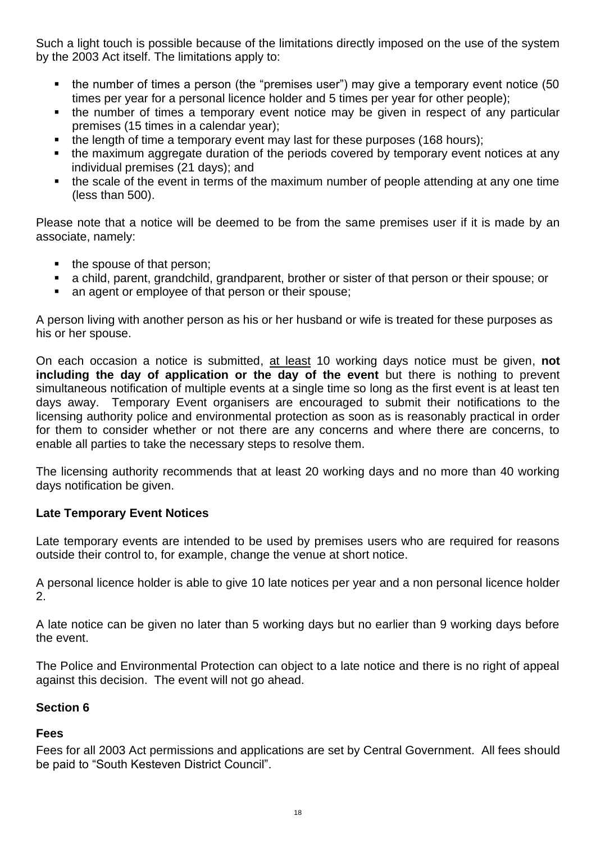Such a light touch is possible because of the limitations directly imposed on the use of the system by the 2003 Act itself. The limitations apply to:

- the number of times a person (the "premises user") may give a temporary event notice (50 times per year for a personal licence holder and 5 times per year for other people);
- the number of times a temporary event notice may be given in respect of any particular premises (15 times in a calendar year);
- the length of time a temporary event may last for these purposes (168 hours);
- the maximum aggregate duration of the periods covered by temporary event notices at any individual premises (21 days); and
- the scale of the event in terms of the maximum number of people attending at any one time (less than 500).

Please note that a notice will be deemed to be from the same premises user if it is made by an associate, namely:

- the spouse of that person;
- a child, parent, grandchild, grandparent, brother or sister of that person or their spouse; or
- an agent or employee of that person or their spouse:

A person living with another person as his or her husband or wife is treated for these purposes as his or her spouse.

On each occasion a notice is submitted, at least 10 working days notice must be given, **not including the day of application or the day of the event** but there is nothing to prevent simultaneous notification of multiple events at a single time so long as the first event is at least ten days away. Temporary Event organisers are encouraged to submit their notifications to the licensing authority police and environmental protection as soon as is reasonably practical in order for them to consider whether or not there are any concerns and where there are concerns, to enable all parties to take the necessary steps to resolve them.

The licensing authority recommends that at least 20 working days and no more than 40 working days notification be given.

#### **Late Temporary Event Notices**

Late temporary events are intended to be used by premises users who are required for reasons outside their control to, for example, change the venue at short notice.

A personal licence holder is able to give 10 late notices per year and a non personal licence holder 2.

A late notice can be given no later than 5 working days but no earlier than 9 working days before the event.

The Police and Environmental Protection can object to a late notice and there is no right of appeal against this decision. The event will not go ahead.

#### **Section 6**

## **Fees**

Fees for all 2003 Act permissions and applications are set by Central Government. All fees should be paid to "South Kesteven District Council".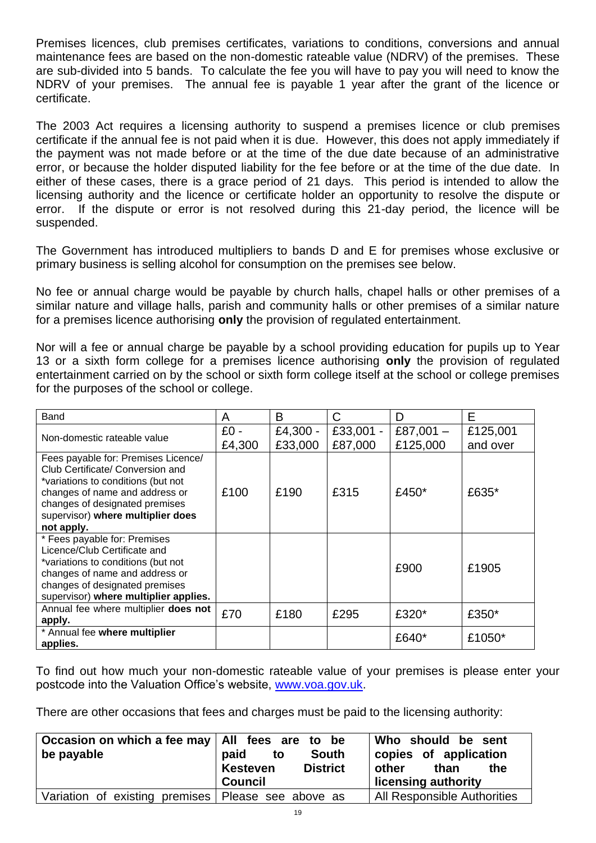Premises licences, club premises certificates, variations to conditions, conversions and annual maintenance fees are based on the non-domestic rateable value (NDRV) of the premises. These are sub-divided into 5 bands. To calculate the fee you will have to pay you will need to know the NDRV of your premises. The annual fee is payable 1 year after the grant of the licence or certificate.

The 2003 Act requires a licensing authority to suspend a premises licence or club premises certificate if the annual fee is not paid when it is due. However, this does not apply immediately if the payment was not made before or at the time of the due date because of an administrative error, or because the holder disputed liability for the fee before or at the time of the due date. In either of these cases, there is a grace period of 21 days. This period is intended to allow the licensing authority and the licence or certificate holder an opportunity to resolve the dispute or error. If the dispute or error is not resolved during this 21-day period, the licence will be suspended.

The Government has introduced multipliers to bands D and E for premises whose exclusive or primary business is selling alcohol for consumption on the premises see below.

No fee or annual charge would be payable by church halls, chapel halls or other premises of a similar nature and village halls, parish and community halls or other premises of a similar nature for a premises licence authorising **only** the provision of regulated entertainment.

Nor will a fee or annual charge be payable by a school providing education for pupils up to Year 13 or a sixth form college for a premises licence authorising **only** the provision of regulated entertainment carried on by the school or sixth form college itself at the school or college premises for the purposes of the school or college.

| Band                                  | A      | В        | С           | D           | Е        |
|---------------------------------------|--------|----------|-------------|-------------|----------|
| Non-domestic rateable value           | $£0 -$ | £4,300 - | $£33,001 -$ | £87,001 $-$ | £125,001 |
|                                       | £4,300 | £33,000  | £87,000     | £125,000    | and over |
| Fees payable for: Premises Licence/   |        |          |             |             |          |
| Club Certificate/ Conversion and      |        |          |             |             |          |
| *variations to conditions (but not    |        |          |             |             |          |
| changes of name and address or        | £100   | £190     | £315        | £450*       | £635*    |
| changes of designated premises        |        |          |             |             |          |
| supervisor) where multiplier does     |        |          |             |             |          |
| not apply.                            |        |          |             |             |          |
| * Fees payable for: Premises          |        |          |             |             |          |
| Licence/Club Certificate and          |        |          |             |             |          |
| *variations to conditions (but not    |        |          |             | £900        | £1905    |
| changes of name and address or        |        |          |             |             |          |
| changes of designated premises        |        |          |             |             |          |
| supervisor) where multiplier applies. |        |          |             |             |          |
| Annual fee where multiplier does not  | £70    | £180     | £295        | £320*       | £350*    |
| apply.                                |        |          |             |             |          |
| * Annual fee where multiplier         |        |          |             | £640*       | £1050*   |
| applies.                              |        |          |             |             |          |

To find out how much your non-domestic rateable value of your premises is please enter your postcode into the Valuation Office's website, [www.voa.gov.uk.](http://www.voa.gov.uk/)

There are other occasions that fees and charges must be paid to the licensing authority:

| Occasion on which a fee may   All fees are to be<br>be payable | <b>South</b><br>paid<br>to<br><b>District</b><br><b>Kesteven</b><br><b>Council</b> | Who should be sent<br>copies of application<br>other<br>than<br>the<br>licensing authority |
|----------------------------------------------------------------|------------------------------------------------------------------------------------|--------------------------------------------------------------------------------------------|
| Variation of existing premises   Please see above as           |                                                                                    | All Responsible Authorities                                                                |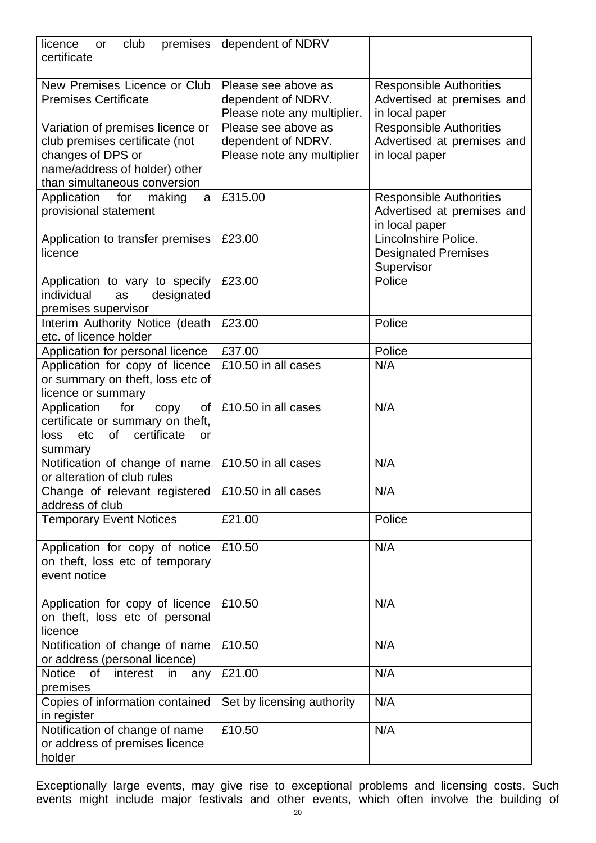| club<br>premises<br>licence<br>or<br>certificate                                                                                                         | dependent of NDRV                                                        |                                                                                |
|----------------------------------------------------------------------------------------------------------------------------------------------------------|--------------------------------------------------------------------------|--------------------------------------------------------------------------------|
| New Premises Licence or Club<br><b>Premises Certificate</b>                                                                                              | Please see above as<br>dependent of NDRV.<br>Please note any multiplier. | <b>Responsible Authorities</b><br>Advertised at premises and<br>in local paper |
| Variation of premises licence or<br>club premises certificate (not<br>changes of DPS or<br>name/address of holder) other<br>than simultaneous conversion | Please see above as<br>dependent of NDRV.<br>Please note any multiplier  | <b>Responsible Authorities</b><br>Advertised at premises and<br>in local paper |
| Application<br>for<br>making<br>a<br>provisional statement                                                                                               | £315.00                                                                  | <b>Responsible Authorities</b><br>Advertised at premises and<br>in local paper |
| Application to transfer premises<br>licence                                                                                                              | £23.00                                                                   | Lincolnshire Police.<br><b>Designated Premises</b><br>Supervisor               |
| Application to vary to specify<br>individual<br>designated<br>as<br>premises supervisor                                                                  | £23.00                                                                   | Police                                                                         |
| Interim Authority Notice (death<br>etc. of licence holder                                                                                                | £23.00                                                                   | Police                                                                         |
| Application for personal licence                                                                                                                         | £37.00                                                                   | Police                                                                         |
| Application for copy of licence<br>or summary on theft, loss etc of<br>licence or summary                                                                | £10.50 in all cases                                                      | N/A                                                                            |
| for<br>Application<br>οf<br>copy<br>certificate or summary on theft,<br>of<br>certificate<br>loss<br>etc<br>or<br>summary                                | £10.50 in all cases                                                      | N/A                                                                            |
| Notification of change of name<br>or alteration of club rules                                                                                            | £10.50 in all cases                                                      | N/A                                                                            |
| Change of relevant registered<br>address of club                                                                                                         | £10.50 in all cases                                                      | N/A                                                                            |
| <b>Temporary Event Notices</b>                                                                                                                           | £21.00                                                                   | Police                                                                         |
| Application for copy of notice<br>on theft, loss etc of temporary<br>event notice                                                                        | £10.50                                                                   | N/A                                                                            |
| Application for copy of licence<br>on theft, loss etc of personal<br>licence                                                                             | £10.50                                                                   | N/A                                                                            |
| Notification of change of name<br>or address (personal licence)                                                                                          | £10.50                                                                   | N/A                                                                            |
| Notice<br>0f<br>interest<br>in<br>any<br>premises                                                                                                        | £21.00                                                                   | N/A                                                                            |
| Copies of information contained<br>in register                                                                                                           | Set by licensing authority                                               | N/A                                                                            |
| Notification of change of name<br>or address of premises licence<br>holder                                                                               | £10.50                                                                   | N/A                                                                            |

Exceptionally large events, may give rise to exceptional problems and licensing costs. Such events might include major festivals and other events, which often involve the building of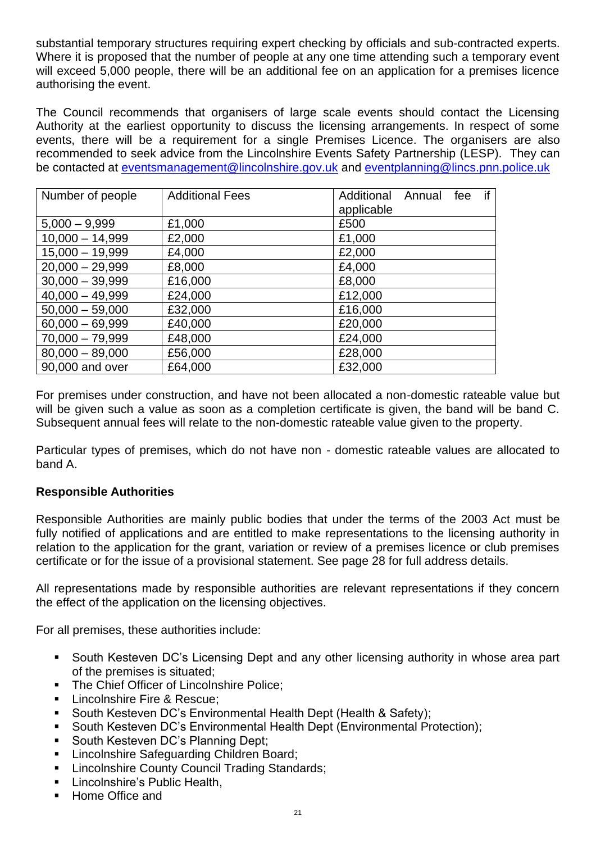substantial temporary structures requiring expert checking by officials and sub-contracted experts. Where it is proposed that the number of people at any one time attending such a temporary event will exceed 5,000 people, there will be an additional fee on an application for a premises licence authorising the event.

The Council recommends that organisers of large scale events should contact the Licensing Authority at the earliest opportunity to discuss the licensing arrangements. In respect of some events, there will be a requirement for a single Premises Licence. The organisers are also recommended to seek advice from the Lincolnshire Events Safety Partnership (LESP). They can be contacted at [eventsmanagement@lincolnshire.gov.uk](mailto:eventsmanagement@lincolnshire.gov.uk) and [eventplanning@lincs.pnn.police.uk](mailto:eventplanning@lincs.pnn.police.uk)

| Number of people  | <b>Additional Fees</b> | if<br>Additional Annual fee<br>applicable |
|-------------------|------------------------|-------------------------------------------|
| $5,000 - 9,999$   | £1,000                 | £500                                      |
| $10,000 - 14,999$ | £2,000                 | £1,000                                    |
| $15,000 - 19,999$ | £4,000                 | £2,000                                    |
| $20,000 - 29,999$ | £8,000                 | £4,000                                    |
| $30,000 - 39,999$ | £16,000                | £8,000                                    |
| $40,000 - 49,999$ | £24,000                | £12,000                                   |
| $50,000 - 59,000$ | £32,000                | £16,000                                   |
| $60,000 - 69,999$ | £40,000                | £20,000                                   |
| $70,000 - 79,999$ | £48,000                | £24,000                                   |
| $80,000 - 89,000$ | £56,000                | £28,000                                   |
| 90,000 and over   | £64,000                | £32,000                                   |

For premises under construction, and have not been allocated a non-domestic rateable value but will be given such a value as soon as a completion certificate is given, the band will be band C. Subsequent annual fees will relate to the non-domestic rateable value given to the property.

Particular types of premises, which do not have non - domestic rateable values are allocated to band A.

## **Responsible Authorities**

Responsible Authorities are mainly public bodies that under the terms of the 2003 Act must be fully notified of applications and are entitled to make representations to the licensing authority in relation to the application for the grant, variation or review of a premises licence or club premises certificate or for the issue of a provisional statement. See page 28 for full address details.

All representations made by responsible authorities are relevant representations if they concern the effect of the application on the licensing objectives.

For all premises, these authorities include:

- South Kesteven DC's Licensing Dept and any other licensing authority in whose area part of the premises is situated;
- The Chief Officer of Lincolnshire Police:
- **EXECUTE:** Lincolnshire Fire & Rescue:
- South Kesteven DC's Environmental Health Dept (Health & Safety):
- South Kesteven DC's Environmental Health Dept (Environmental Protection);
- South Kesteven DC's Planning Dept;
- **EXEC** Lincolnshire Safeguarding Children Board;
- Lincolnshire County Council Trading Standards;
- Lincolnshire's Public Health.
- Home Office and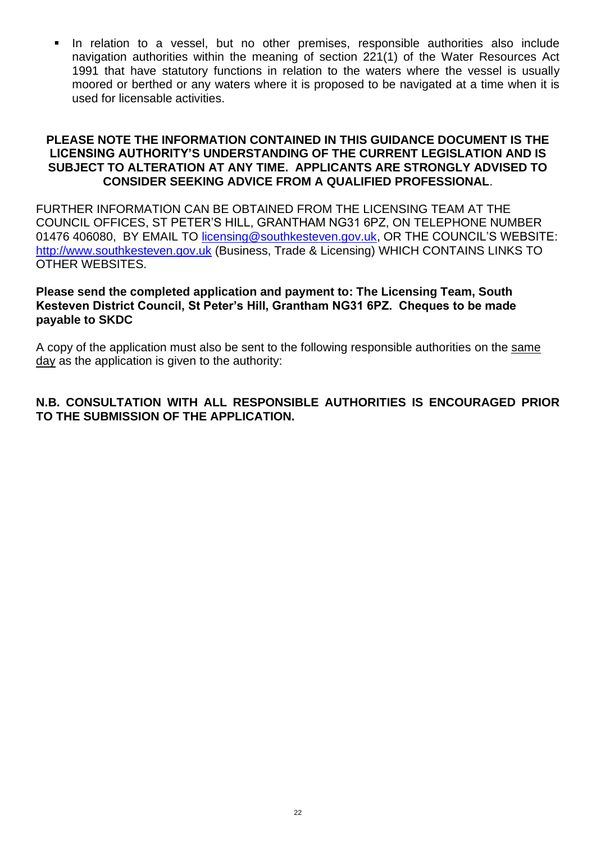In relation to a vessel, but no other premises, responsible authorities also include navigation authorities within the meaning of section 221(1) of the Water Resources Act 1991 that have statutory functions in relation to the waters where the vessel is usually moored or berthed or any waters where it is proposed to be navigated at a time when it is used for licensable activities.

#### **PLEASE NOTE THE INFORMATION CONTAINED IN THIS GUIDANCE DOCUMENT IS THE LICENSING AUTHORITY'S UNDERSTANDING OF THE CURRENT LEGISLATION AND IS SUBJECT TO ALTERATION AT ANY TIME. APPLICANTS ARE STRONGLY ADVISED TO CONSIDER SEEKING ADVICE FROM A QUALIFIED PROFESSIONAL**.

FURTHER INFORMATION CAN BE OBTAINED FROM THE LICENSING TEAM AT THE COUNCIL OFFICES, ST PETER'S HILL, GRANTHAM NG31 6PZ, ON TELEPHONE NUMBER 01476 406080, BY EMAIL TO [licensing@southkesteven.gov.uk,](mailto:licensing@southkesteven.gov.uk) OR THE COUNCIL'S WEBSITE: [http://www.southkesteven.gov.uk](http://www.southkesteven.gov.uk/) (Business, Trade & Licensing) WHICH CONTAINS LINKS TO OTHER WEBSITES.

#### **Please send the completed application and payment to: The Licensing Team, South Kesteven District Council, St Peter's Hill, Grantham NG31 6PZ. Cheques to be made payable to SKDC**

A copy of the application must also be sent to the following responsible authorities on the same day as the application is given to the authority:

### **N.B. CONSULTATION WITH ALL RESPONSIBLE AUTHORITIES IS ENCOURAGED PRIOR TO THE SUBMISSION OF THE APPLICATION.**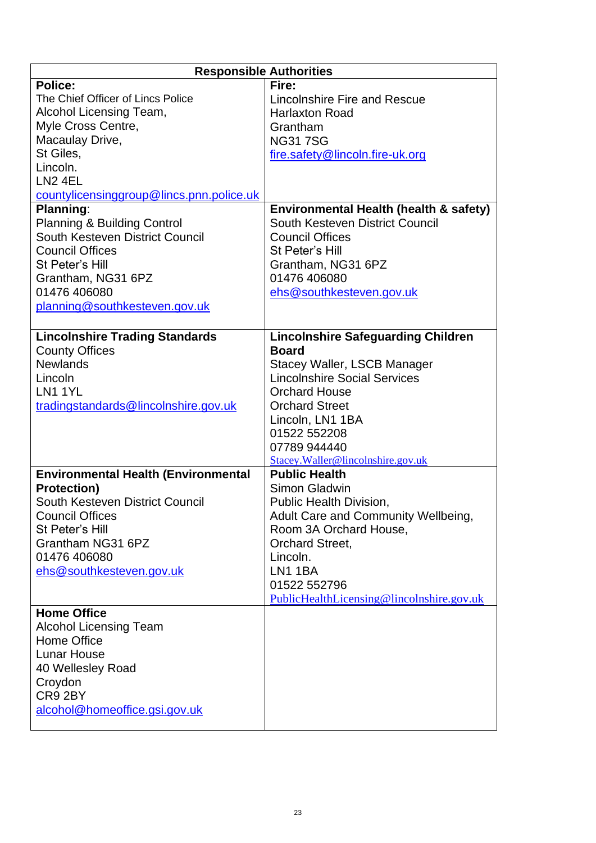| <b>Responsible Authorities</b>             |                                           |  |  |
|--------------------------------------------|-------------------------------------------|--|--|
| <b>Police:</b>                             | Fire:                                     |  |  |
| The Chief Officer of Lincs Police          | Lincolnshire Fire and Rescue              |  |  |
| Alcohol Licensing Team,                    | <b>Harlaxton Road</b>                     |  |  |
| Myle Cross Centre,                         | Grantham                                  |  |  |
| Macaulay Drive,                            | <b>NG317SG</b>                            |  |  |
| St Giles,                                  | fire.safety@lincoln.fire-uk.org           |  |  |
| Lincoln.                                   |                                           |  |  |
| LN <sub>2</sub> 4EL                        |                                           |  |  |
| countylicensinggroup@lincs.pnn.police.uk   |                                           |  |  |
| Planning:                                  | Environmental Health (health & safety)    |  |  |
| <b>Planning &amp; Building Control</b>     | South Kesteven District Council           |  |  |
| South Kesteven District Council            | <b>Council Offices</b>                    |  |  |
| <b>Council Offices</b>                     | St Peter's Hill                           |  |  |
| St Peter's Hill                            | Grantham, NG31 6PZ                        |  |  |
| Grantham, NG31 6PZ                         | 01476 406080                              |  |  |
| 01476 406080                               | ehs@southkesteven.gov.uk                  |  |  |
| planning@southkesteven.gov.uk              |                                           |  |  |
|                                            |                                           |  |  |
| <b>Lincolnshire Trading Standards</b>      | <b>Lincolnshire Safeguarding Children</b> |  |  |
| <b>County Offices</b>                      | <b>Board</b>                              |  |  |
| <b>Newlands</b>                            | <b>Stacey Waller, LSCB Manager</b>        |  |  |
| Lincoln                                    | <b>Lincolnshire Social Services</b>       |  |  |
| LN1 1YL                                    | <b>Orchard House</b>                      |  |  |
| tradingstandards@lincolnshire.gov.uk       | <b>Orchard Street</b>                     |  |  |
|                                            | Lincoln, LN1 1BA                          |  |  |
|                                            | 01522 552208                              |  |  |
|                                            | 07789 944440                              |  |  |
|                                            | Stacey.Waller@lincolnshire.gov.uk         |  |  |
| <b>Environmental Health (Environmental</b> | <b>Public Health</b>                      |  |  |
| <b>Protection)</b>                         | Simon Gladwin                             |  |  |
| South Kesteven District Council            | Public Health Division,                   |  |  |
| <b>Council Offices</b>                     | Adult Care and Community Wellbeing,       |  |  |
| St Peter's Hill                            | Room 3A Orchard House,                    |  |  |
| Grantham NG31 6PZ                          | Orchard Street,                           |  |  |
| 01476 406080                               | Lincoln.                                  |  |  |
| ehs@southkesteven.gov.uk                   | LN1 1BA                                   |  |  |
|                                            | 01522 552796                              |  |  |
|                                            | PublicHealthLicensing@lincolnshire.gov.uk |  |  |
| <b>Home Office</b>                         |                                           |  |  |
| <b>Alcohol Licensing Team</b>              |                                           |  |  |
| Home Office                                |                                           |  |  |
| <b>Lunar House</b>                         |                                           |  |  |
| 40 Wellesley Road                          |                                           |  |  |
| Croydon                                    |                                           |  |  |
| CR9 2BY                                    |                                           |  |  |
| alcohol@homeoffice.gsi.gov.uk              |                                           |  |  |
|                                            |                                           |  |  |